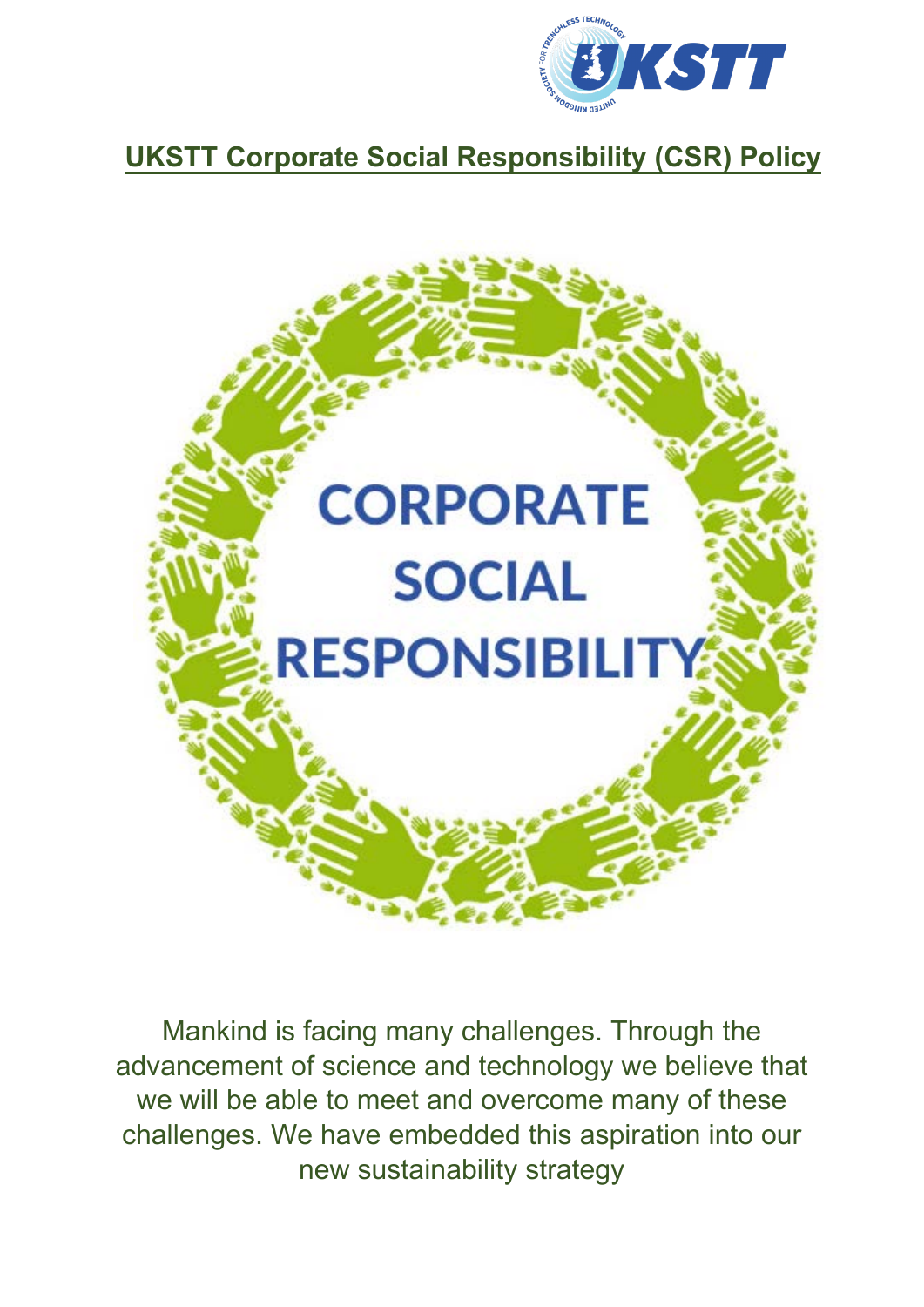

# **UKSTT Corporate Social Responsibility (CSR) Policy**



Mankind is facing many challenges. Through the advancement of science and technology we believe that we will be able to meet and overcome many of these challenges. We have embedded this aspiration into our new sustainability strategy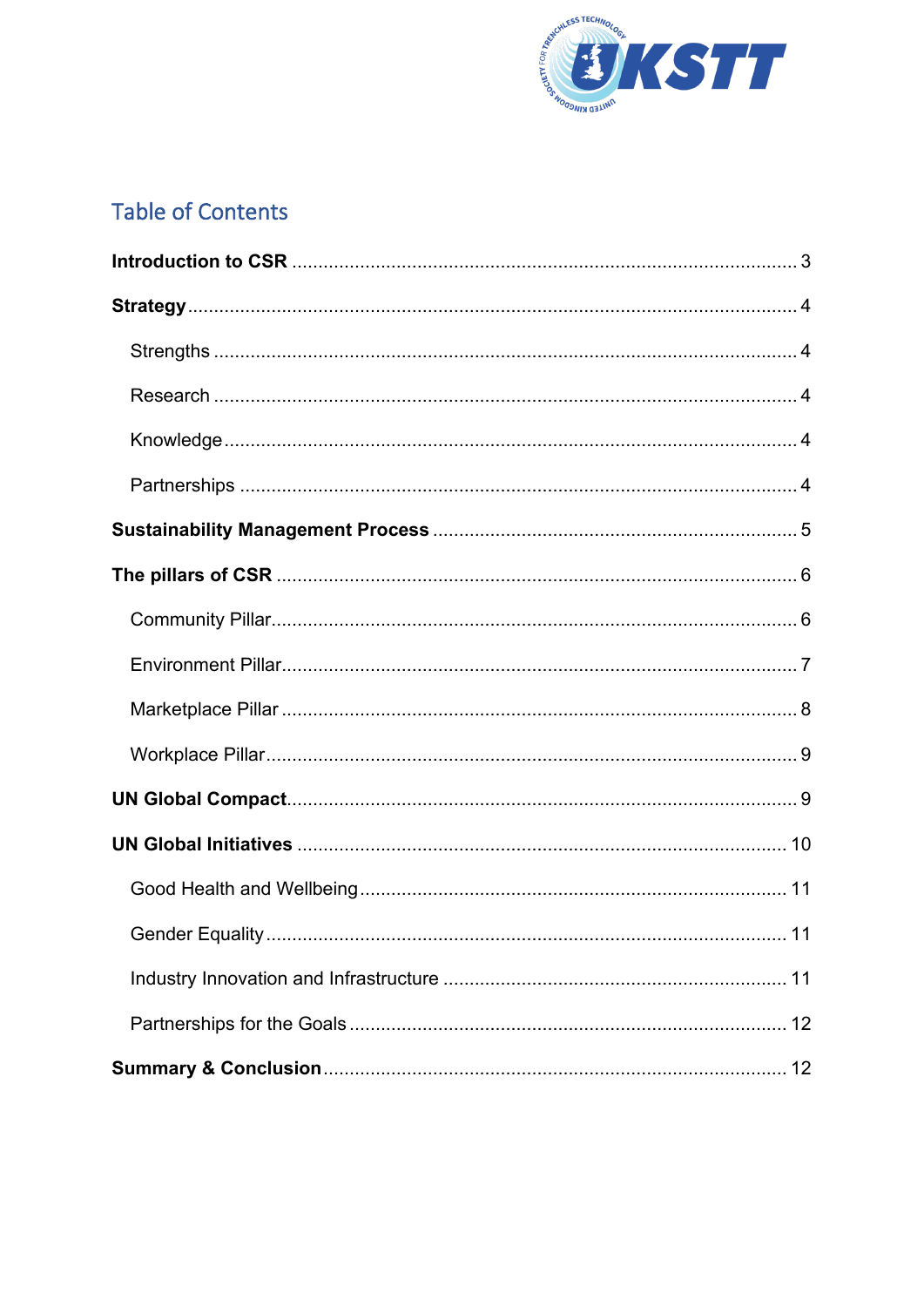

## **Table of Contents**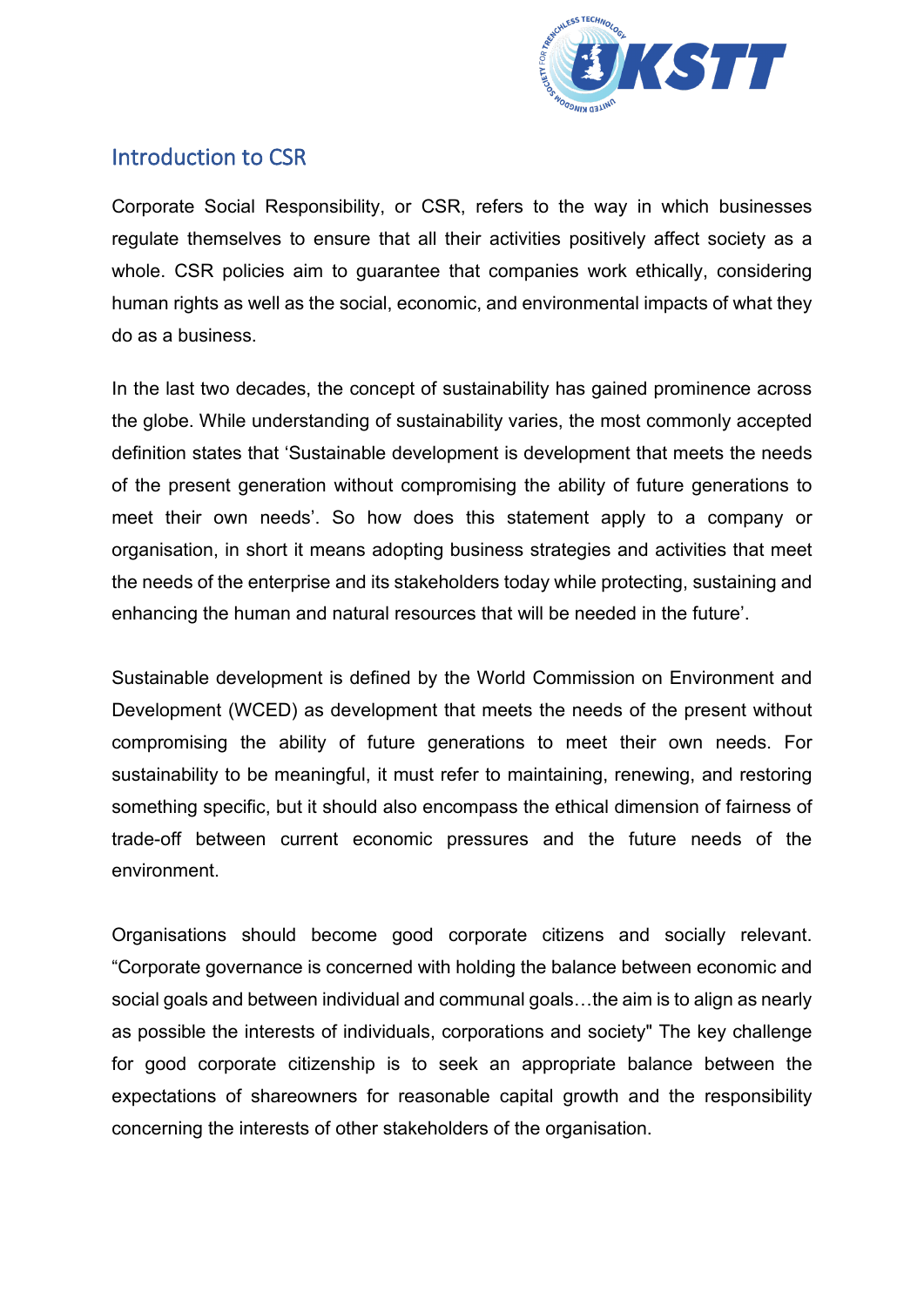

### <span id="page-2-0"></span>Introduction to CSR

Corporate Social Responsibility, or CSR, refers to the way in which businesses regulate themselves to ensure that all their activities positively affect society as a whole. CSR policies aim to guarantee that companies work ethically, considering human rights as well as the social, economic, and environmental impacts of what they do as a business.

In the last two decades, the concept of sustainability has gained prominence across the globe. While understanding of sustainability varies, the most commonly accepted definition states that 'Sustainable development is development that meets the needs of the present generation without compromising the ability of future generations to meet their own needs'. So how does this statement apply to a company or organisation, in short it means adopting business strategies and activities that meet the needs of the enterprise and its stakeholders today while protecting, sustaining and enhancing the human and natural resources that will be needed in the future'.

Sustainable development is defined by the World Commission on Environment and Development (WCED) as development that meets the needs of the present without compromising the ability of future generations to meet their own needs. For sustainability to be meaningful, it must refer to maintaining, renewing, and restoring something specific, but it should also encompass the ethical dimension of fairness of trade-off between current economic pressures and the future needs of the environment.

Organisations should become good corporate citizens and socially relevant. "Corporate governance is concerned with holding the balance between economic and social goals and between individual and communal goals…the aim is to align as nearly as possible the interests of individuals, corporations and society" The key challenge for good corporate citizenship is to seek an appropriate balance between the expectations of shareowners for reasonable capital growth and the responsibility concerning the interests of other stakeholders of the organisation.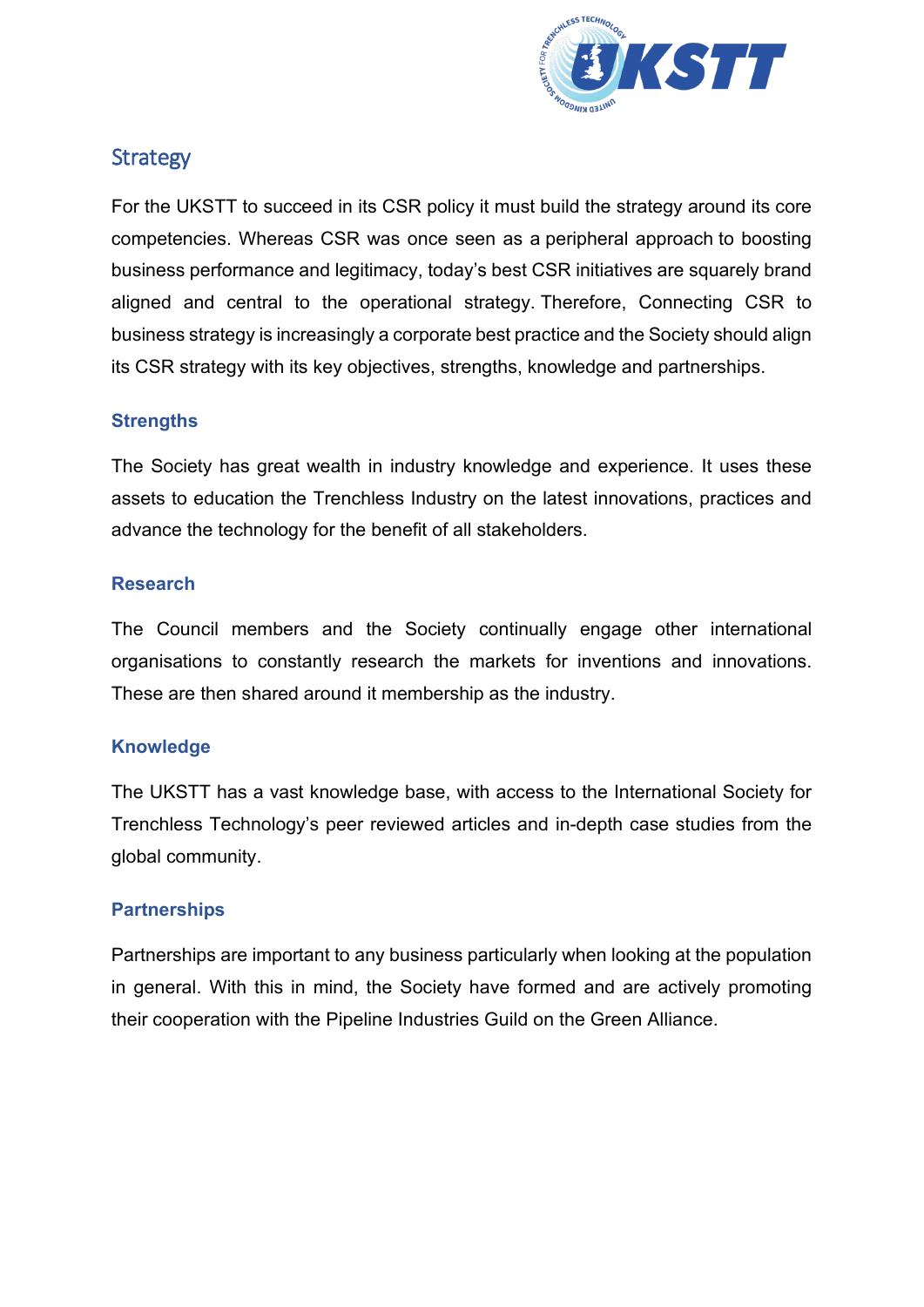

### <span id="page-3-0"></span>**Strategy**

For the UKSTT to succeed in its CSR policy it must build the strategy around its core competencies. Whereas CSR was once seen as a peripheral approach to boosting business performance and legitimacy, today's best CSR initiatives are squarely brand aligned and central to the operational strategy. Therefore, Connecting CSR to business strategy is increasingly a corporate best practice and the Society should align its CSR strategy with its key objectives, strengths, knowledge and partnerships.

#### <span id="page-3-1"></span>**Strengths**

The Society has great wealth in industry knowledge and experience. It uses these assets to education the Trenchless Industry on the latest innovations, practices and advance the technology for the benefit of all stakeholders.

#### <span id="page-3-2"></span>**Research**

The Council members and the Society continually engage other international organisations to constantly research the markets for inventions and innovations. These are then shared around it membership as the industry.

#### <span id="page-3-3"></span>**Knowledge**

The UKSTT has a vast knowledge base, with access to the International Society for Trenchless Technology's peer reviewed articles and in-depth case studies from the global community.

#### <span id="page-3-4"></span>**Partnerships**

Partnerships are important to any business particularly when looking at the population in general. With this in mind, the Society have formed and are actively promoting their cooperation with the Pipeline Industries Guild on the Green Alliance.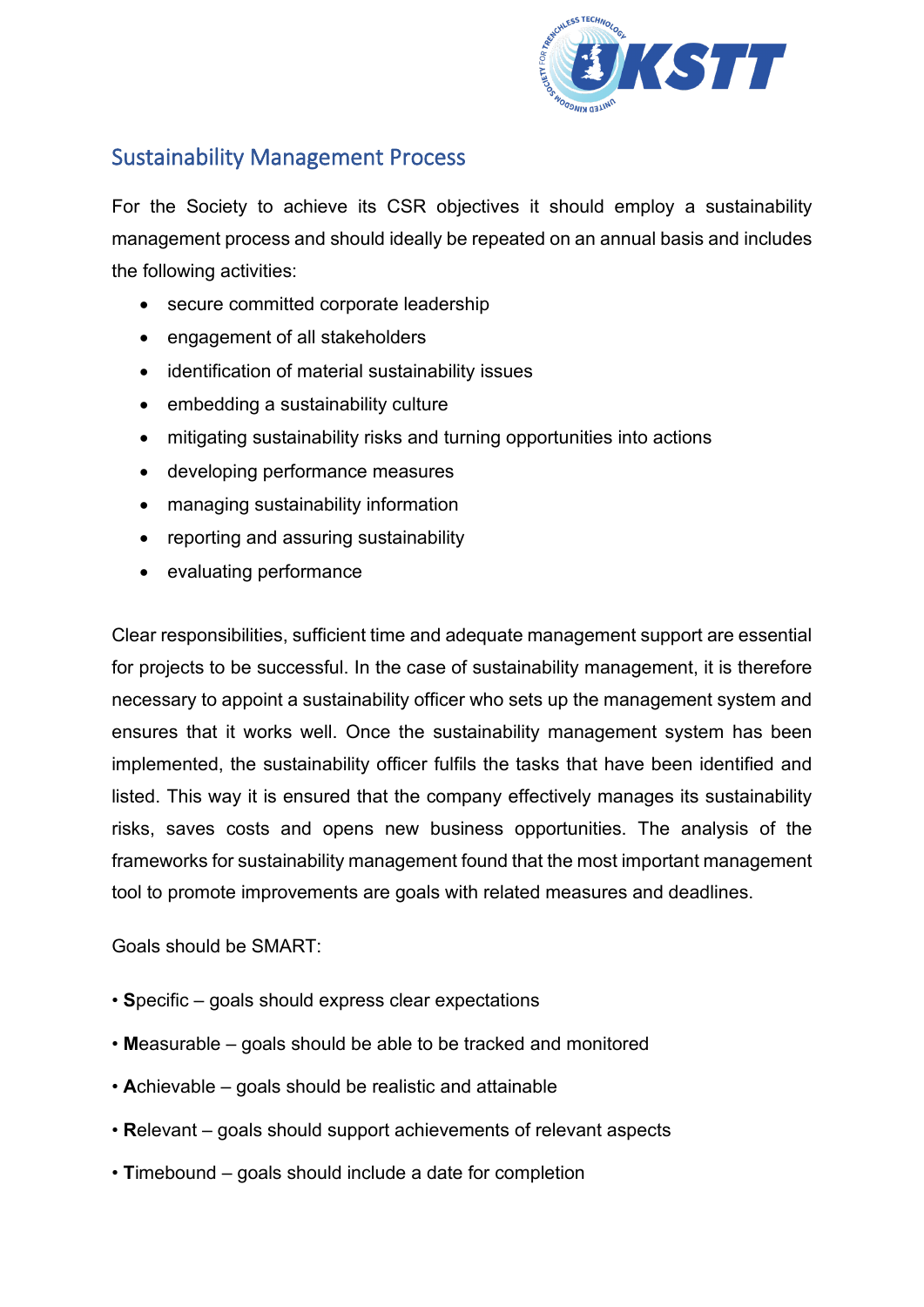

### <span id="page-4-0"></span>Sustainability Management Process

For the Society to achieve its CSR objectives it should employ a sustainability management process and should ideally be repeated on an annual basis and includes the following activities:

- secure committed corporate leadership
- engagement of all stakeholders
- identification of material sustainability issues
- embedding a sustainability culture
- mitigating sustainability risks and turning opportunities into actions
- developing performance measures
- managing sustainability information
- reporting and assuring sustainability
- evaluating performance

Clear responsibilities, sufficient time and adequate management support are essential for projects to be successful. In the case of sustainability management, it is therefore necessary to appoint a sustainability officer who sets up the management system and ensures that it works well. Once the sustainability management system has been implemented, the sustainability officer fulfils the tasks that have been identified and listed. This way it is ensured that the company effectively manages its sustainability risks, saves costs and opens new business opportunities. The analysis of the frameworks for sustainability management found that the most important management tool to promote improvements are goals with related measures and deadlines.

Goals should be SMART:

- **S**pecific goals should express clear expectations
- **M**easurable goals should be able to be tracked and monitored
- **A**chievable goals should be realistic and attainable
- **R**elevant goals should support achievements of relevant aspects
- **T**imebound goals should include a date for completion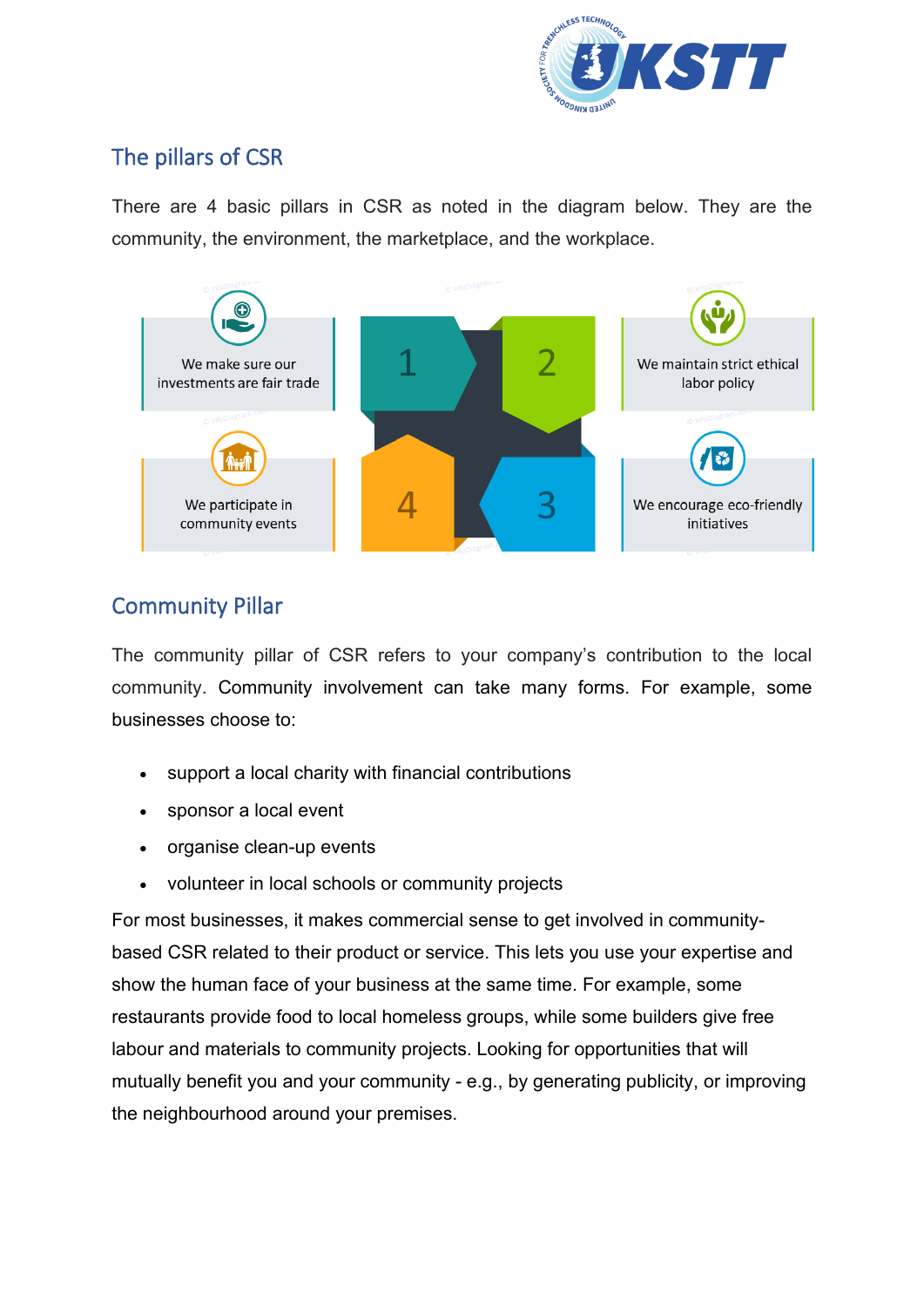

## <span id="page-5-0"></span>The pillars of CSR

There are 4 basic pillars in CSR as noted in the diagram below. They are the community, the environment, the marketplace, and the workplace.



## <span id="page-5-1"></span>Community Pillar

The community pillar of CSR refers to your company's contribution to the local community. Community involvement can take many forms. For example, some businesses choose to:

- support a local charity with financial contributions
- sponsor a local event
- organise clean-up events
- volunteer in local schools or community projects

For most businesses, it makes commercial sense to get involved in communitybased CSR related to their product or service. This lets you use your expertise and show the human face of your business at the same time. For example, some restaurants provide food to local homeless groups, while some builders give free labour and materials to community projects. Looking for opportunities that will mutually benefit you and your community - e.g., by generating publicity, or improving the neighbourhood around your premises.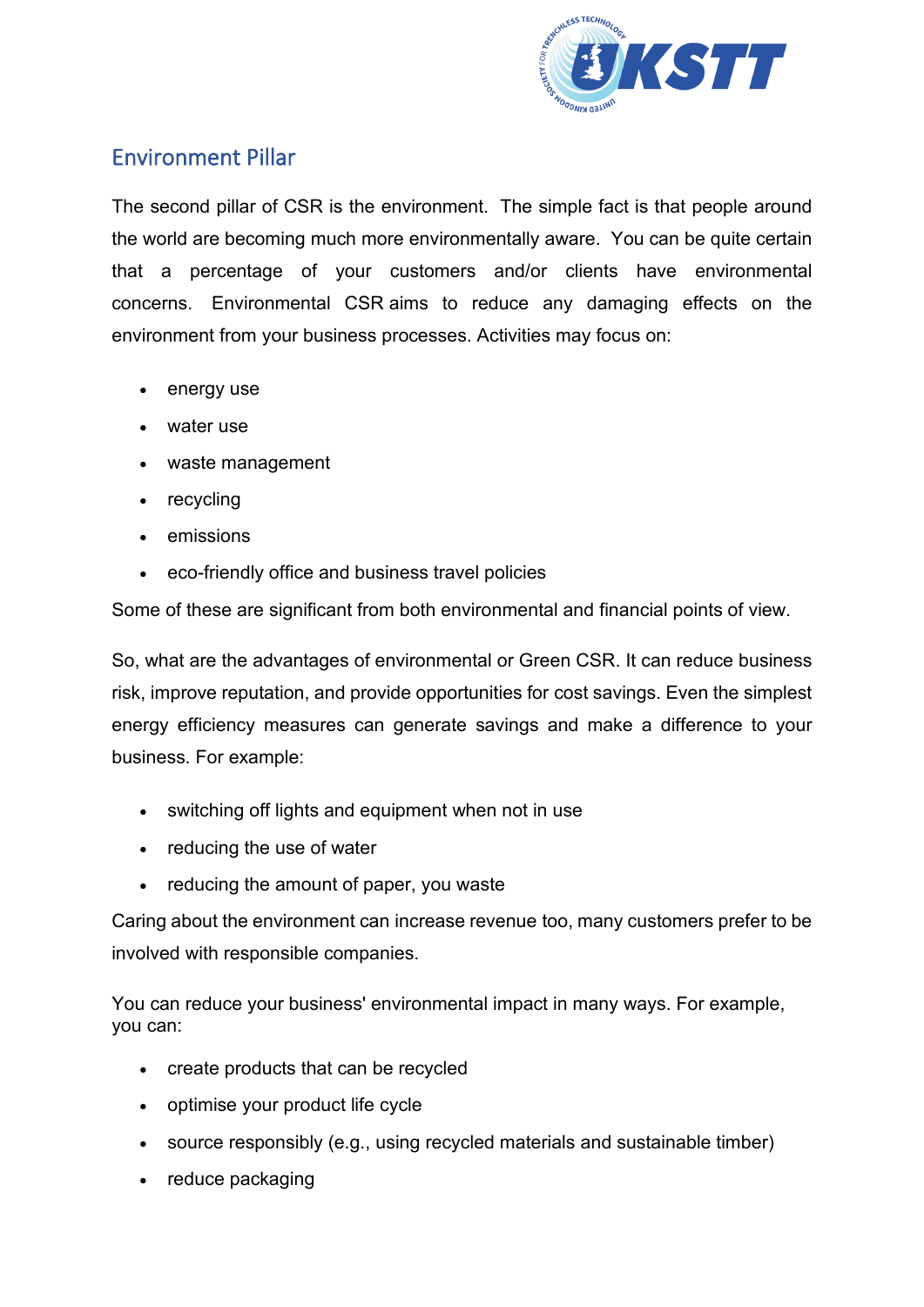

### <span id="page-6-0"></span>Environment Pillar

The second pillar of CSR is the environment. The simple fact is that people around the world are becoming much more environmentally aware. You can be quite certain that a percentage of your customers and/or clients have environmental concerns. Environmental CSR aims to reduce any damaging effects on the environment from your business processes. Activities may focus on:

- energy use
- water use
- waste management
- recycling
- emissions
- eco-friendly office and business travel policies

Some of these are significant from both environmental and financial points of view.

So, what are the advantages of environmental or Green CSR. It can reduce business risk, improve reputation, and provide opportunities for cost savings. Even the simplest energy efficiency measures can generate savings and make a difference to your business. For example:

- switching off lights and equipment when not in use
- reducing the use of water
- reducing the amount of paper, you waste

Caring about the environment can increase revenue too, many customers prefer to be involved with responsible companies.

You can reduce your business' environmental impact in many ways. For example, you can:

- create products that can be recycled
- optimise your product life cycle
- source responsibly (e.g., using recycled materials and sustainable timber)
- reduce packaging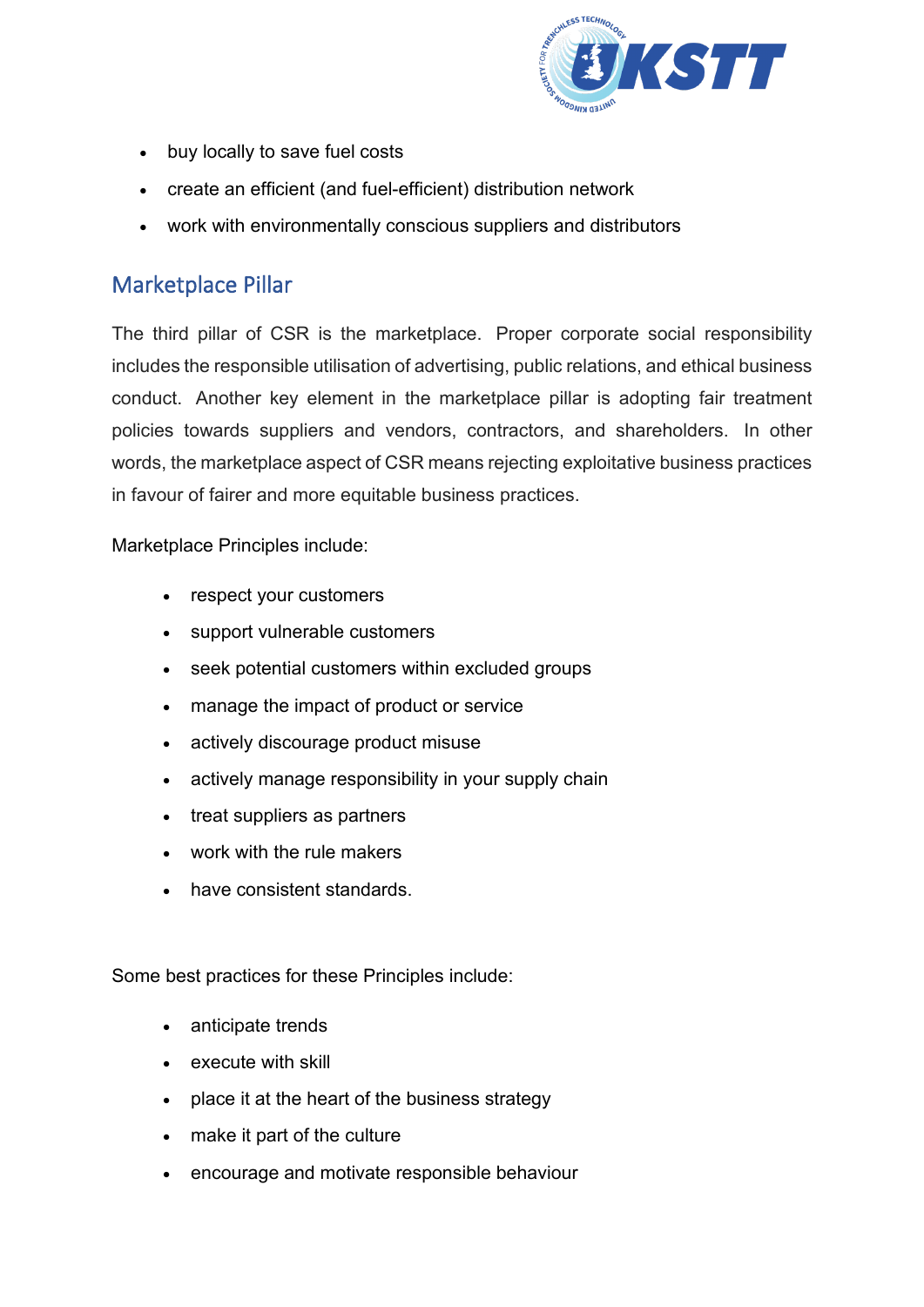

- buy locally to save fuel costs
- create an efficient (and fuel-efficient) distribution network
- work with environmentally conscious suppliers and distributors

### <span id="page-7-0"></span>Marketplace Pillar

The third pillar of CSR is the marketplace. Proper corporate social responsibility includes the responsible utilisation of advertising, public relations, and ethical business conduct. Another key element in the marketplace pillar is adopting fair treatment policies towards suppliers and vendors, contractors, and shareholders. In other words, the marketplace aspect of CSR means rejecting exploitative business practices in favour of fairer and more equitable business practices.

Marketplace Principles include:

- respect your customers
- support vulnerable customers
- seek potential customers within excluded groups
- manage the impact of product or service
- actively discourage product misuse
- actively manage responsibility in your supply chain
- treat suppliers as partners
- work with the rule makers
- have consistent standards.

Some best practices for these Principles include:

- anticipate trends
- execute with skill
- place it at the heart of the business strategy
- make it part of the culture
- encourage and motivate responsible behaviour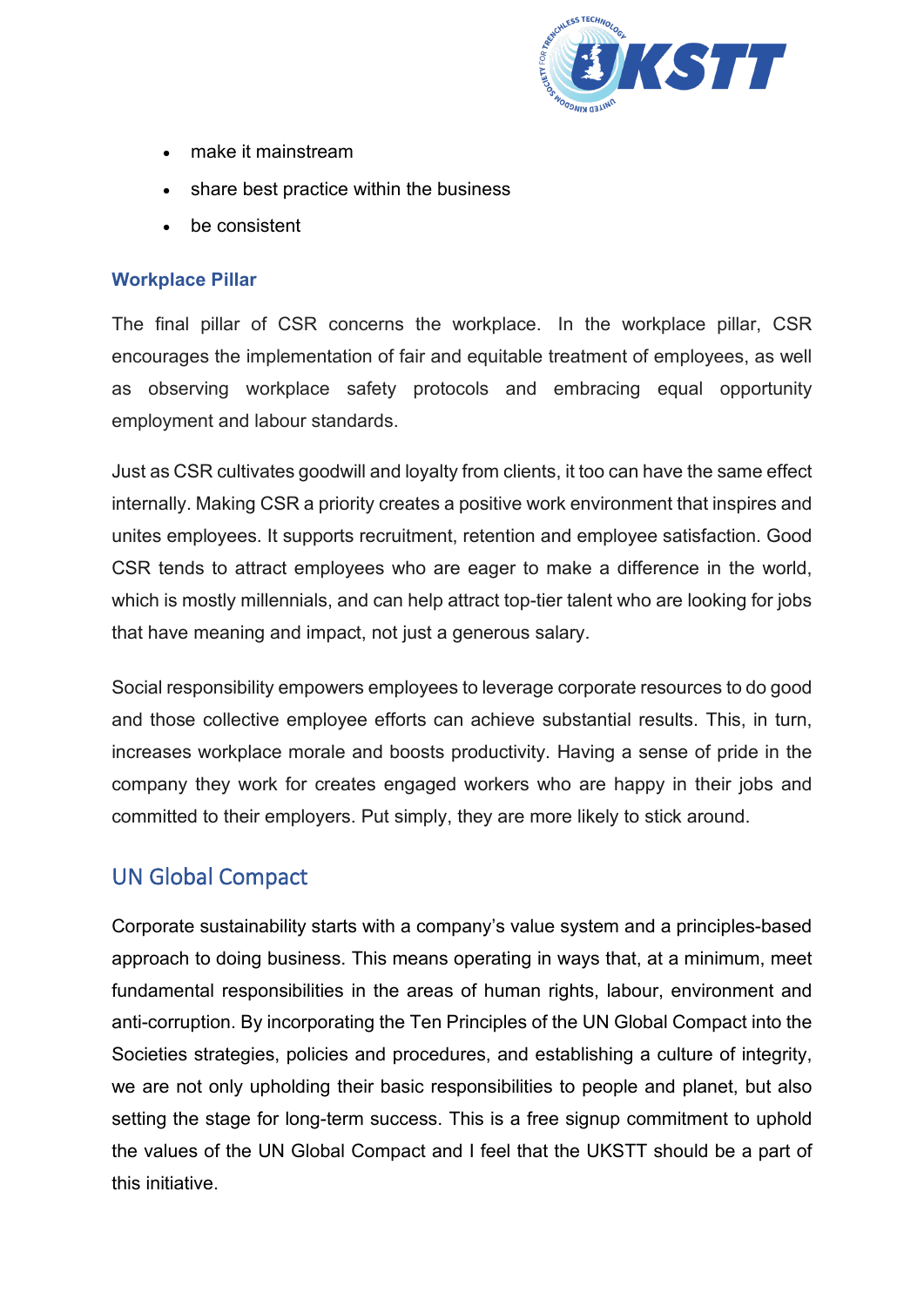

- make it mainstream
- share best practice within the business
- be consistent

#### <span id="page-8-0"></span>**Workplace Pillar**

The final pillar of CSR concerns the workplace. In the workplace pillar, CSR encourages the implementation of fair and equitable treatment of employees, as well as observing workplace safety protocols and embracing equal opportunity employment and labour standards.

Just as CSR cultivates goodwill and loyalty from clients, it too can have the same effect internally. Making CSR a priority creates a positive work environment that inspires and unites employees. It supports recruitment, retention and employee satisfaction. Good CSR tends to attract employees who are eager to make a difference in the world, which is mostly millennials, and can help attract top-tier talent who are looking for jobs that have meaning and impact, not just a generous salary.

Social responsibility empowers employees to leverage corporate resources to do good and those collective employee efforts can achieve substantial results. This, in turn, increases workplace morale and boosts productivity. Having a sense of pride in the company they work for creates engaged workers who are happy in their jobs and committed to their employers. Put simply, they are more likely to stick around.

#### <span id="page-8-1"></span>UN Global Compact

Corporate sustainability starts with a company's value system and a principles-based approach to doing business. This means operating in ways that, at a minimum, meet fundamental responsibilities in the areas of human rights, labour, environment and anti-corruption. By incorporating the Ten Principles of the UN Global Compact into the Societies strategies, policies and procedures, and establishing a culture of integrity, we are not only upholding their basic responsibilities to people and planet, but also setting the stage for long-term success. This is a free signup commitment to uphold the values of the UN Global Compact and I feel that the UKSTT should be a part of this initiative.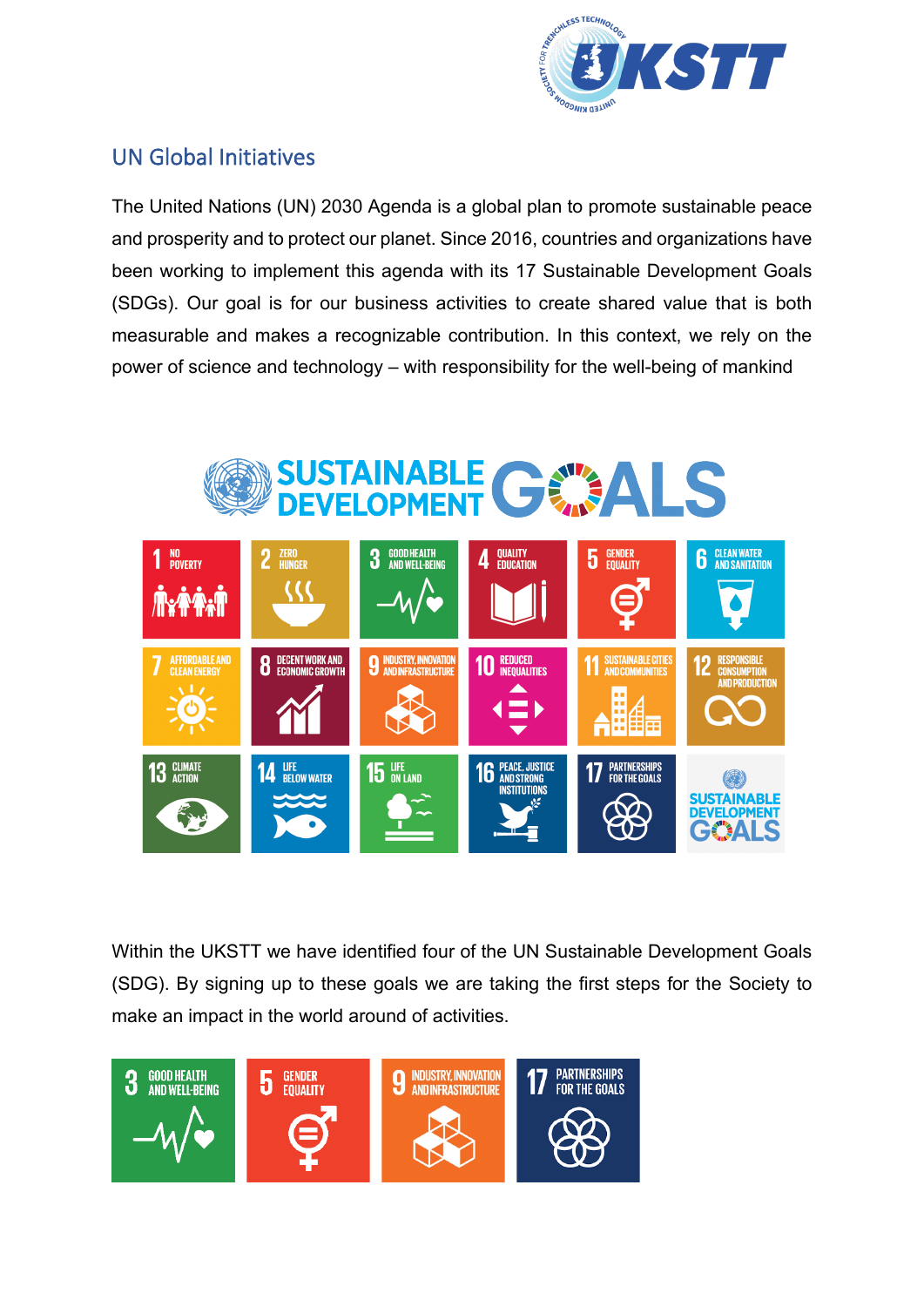

### <span id="page-9-0"></span>UN Global Initiatives

The United Nations (UN) 2030 Agenda is a global plan to promote sustainable peace and prosperity and to protect our planet. Since 2016, countries and organizations have been working to implement this agenda with its 17 Sustainable Development Goals (SDGs). Our goal is for our business activities to create shared value that is both measurable and makes a recognizable contribution. In this context, we rely on the power of science and technology – with responsibility for the well-being of mankind



Within the UKSTT we have identified four of the UN Sustainable Development Goals (SDG). By signing up to these goals we are taking the first steps for the Society to make an impact in the world around of activities.

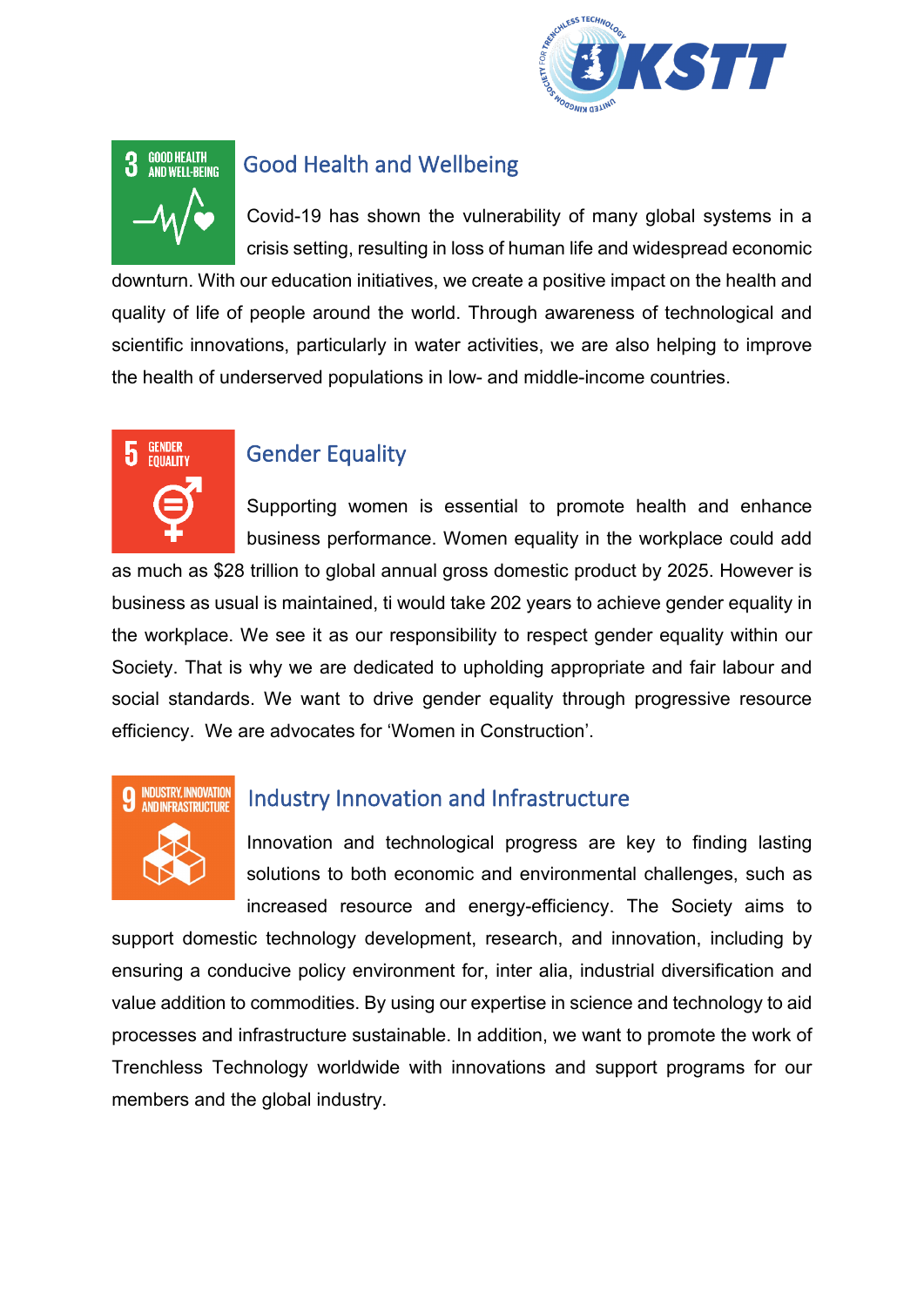



#### Good Health and Wellbeing

Covid-19 has shown the vulnerability of many global systems in a crisis setting, resulting in loss of human life and widespread economic

downturn. With our education initiatives, we create a positive impact on the health and quality of life of people around the world. Through awareness of technological and scientific innovations, particularly in water activities, we are also helping to improve the health of underserved populations in low- and middle-income countries.



### Gender Equality

Supporting women is essential to promote health and enhance business performance. Women equality in the workplace could add

as much as \$28 trillion to global annual gross domestic product by 2025. However is business as usual is maintained, ti would take 202 years to achieve gender equality in the workplace. We see it as our responsibility to respect gender equality within our Society. That is why we are dedicated to upholding appropriate and fair labour and social standards. We want to drive gender equality through progressive resource efficiency. We are advocates for 'Women in Construction'.



## Industry Innovation and Infrastructure

Innovation and technological progress are key to finding lasting solutions to both economic and environmental challenges, such as increased resource and energy-efficiency. The Society aims to

support domestic technology development, research, and innovation, including by ensuring a conducive policy environment for, inter alia, industrial diversification and value addition to commodities. By using our expertise in science and technology to aid processes and infrastructure sustainable. In addition, we want to promote the work of Trenchless Technology worldwide with innovations and support programs for our members and the global industry.